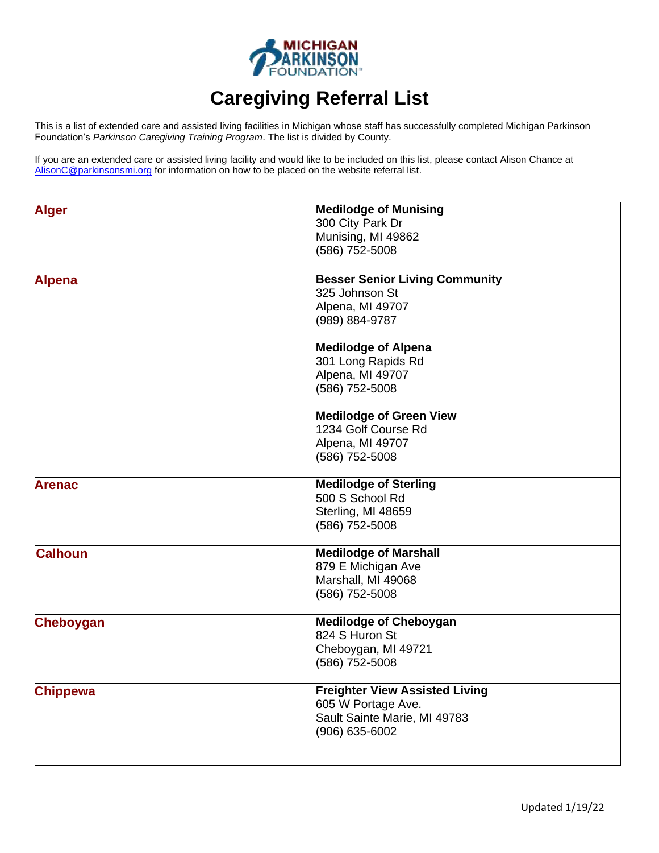

## **Caregiving Referral List**

This is a list of extended care and assisted living facilities in Michigan whose staff has successfully completed Michigan Parkinson Foundation's *Parkinson Caregiving Training Program*. The list is divided by County.

If you are an extended care or assisted living facility and would like to be included on this list, please contact Alison Chance at [AlisonC@parkinsonsmi.org](mailto:AlisonC@parkinsonsmi.org) for information on how to be placed on the website referral list.

| <b>Alger</b>     | <b>Medilodge of Munising</b><br>300 City Park Dr<br>Munising, MI 49862<br>(586) 752-5008                      |
|------------------|---------------------------------------------------------------------------------------------------------------|
| <b>Alpena</b>    | <b>Besser Senior Living Community</b><br>325 Johnson St<br>Alpena, MI 49707<br>(989) 884-9787                 |
|                  | <b>Medilodge of Alpena</b><br>301 Long Rapids Rd<br>Alpena, MI 49707<br>(586) 752-5008                        |
|                  | <b>Medilodge of Green View</b><br>1234 Golf Course Rd<br>Alpena, MI 49707<br>(586) 752-5008                   |
| <b>Arenac</b>    | <b>Medilodge of Sterling</b><br>500 S School Rd<br>Sterling, MI 48659<br>(586) 752-5008                       |
| <b>Calhoun</b>   | <b>Medilodge of Marshall</b><br>879 E Michigan Ave<br>Marshall, MI 49068<br>(586) 752-5008                    |
| <b>Cheboygan</b> | <b>Medilodge of Cheboygan</b><br>824 S Huron St<br>Cheboygan, MI 49721<br>(586) 752-5008                      |
| <b>Chippewa</b>  | <b>Freighter View Assisted Living</b><br>605 W Portage Ave.<br>Sault Sainte Marie, MI 49783<br>(906) 635-6002 |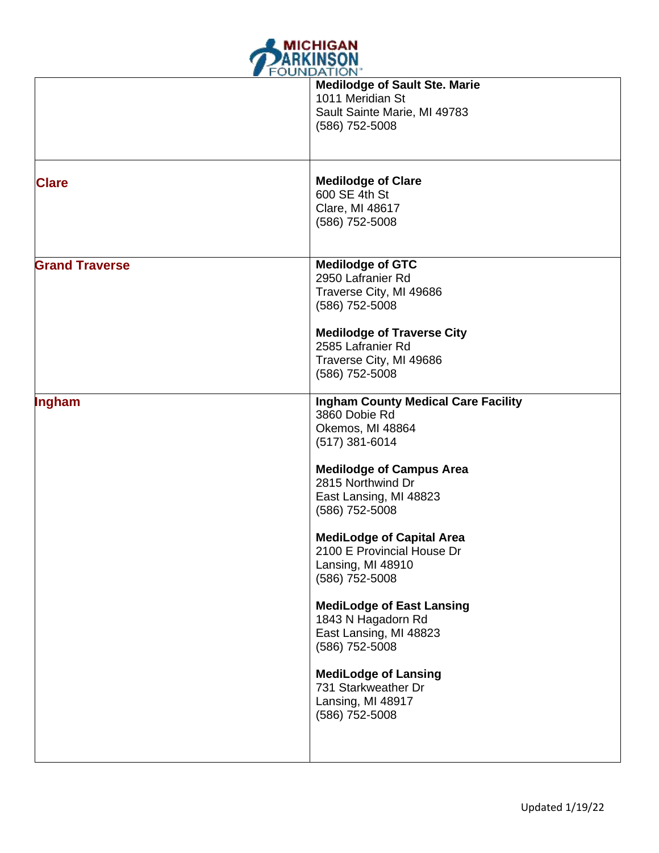

|                       | <b>FUUINDATION</b><br><b>Medilodge of Sault Ste. Marie</b> |
|-----------------------|------------------------------------------------------------|
|                       | 1011 Meridian St                                           |
|                       | Sault Sainte Marie, MI 49783                               |
|                       | (586) 752-5008                                             |
|                       |                                                            |
| <b>Clare</b>          | <b>Medilodge of Clare</b>                                  |
|                       | 600 SE 4th St                                              |
|                       | Clare, MI 48617                                            |
|                       | (586) 752-5008                                             |
|                       |                                                            |
| <b>Grand Traverse</b> | <b>Medilodge of GTC</b>                                    |
|                       | 2950 Lafranier Rd<br>Traverse City, MI 49686               |
|                       | (586) 752-5008                                             |
|                       |                                                            |
|                       | <b>Medilodge of Traverse City</b><br>2585 Lafranier Rd     |
|                       | Traverse City, MI 49686                                    |
|                       | (586) 752-5008                                             |
|                       |                                                            |
| Ingham                | <b>Ingham County Medical Care Facility</b>                 |
|                       | 3860 Dobie Rd                                              |
|                       | Okemos, MI 48864<br>$(517)$ 381-6014                       |
|                       |                                                            |
|                       | <b>Medilodge of Campus Area</b>                            |
|                       | 2815 Northwind Dr                                          |
|                       | East Lansing, MI 48823                                     |
|                       | (586) 752-5008                                             |
|                       | <b>MediLodge of Capital Area</b>                           |
|                       | 2100 E Provincial House Dr                                 |
|                       | Lansing, MI 48910                                          |
|                       | (586) 752-5008                                             |
|                       | <b>MediLodge of East Lansing</b>                           |
|                       | 1843 N Hagadorn Rd                                         |
|                       | East Lansing, MI 48823                                     |
|                       | (586) 752-5008                                             |
|                       | <b>MediLodge of Lansing</b>                                |
|                       | 731 Starkweather Dr                                        |
|                       | Lansing, MI 48917                                          |
|                       | (586) 752-5008                                             |
|                       |                                                            |
|                       |                                                            |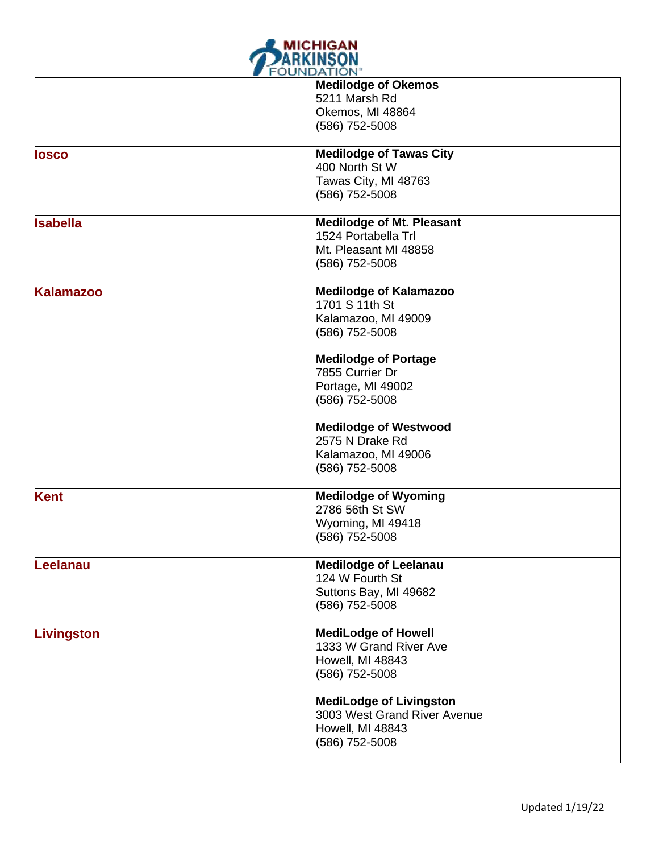

|                   | $\sim$                           |
|-------------------|----------------------------------|
|                   | <b>Medilodge of Okemos</b>       |
|                   | 5211 Marsh Rd                    |
|                   | Okemos, MI 48864                 |
|                   | (586) 752-5008                   |
|                   |                                  |
| losco             | <b>Medilodge of Tawas City</b>   |
|                   | 400 North St W                   |
|                   | Tawas City, MI 48763             |
|                   |                                  |
|                   | (586) 752-5008                   |
| <b>Isabella</b>   | <b>Medilodge of Mt. Pleasant</b> |
|                   | 1524 Portabella Trl              |
|                   |                                  |
|                   | Mt. Pleasant MI 48858            |
|                   | (586) 752-5008                   |
|                   |                                  |
| <b>Kalamazoo</b>  | <b>Medilodge of Kalamazoo</b>    |
|                   | 1701 S 11th St                   |
|                   | Kalamazoo, MI 49009              |
|                   | (586) 752-5008                   |
|                   |                                  |
|                   | <b>Medilodge of Portage</b>      |
|                   | 7855 Currier Dr                  |
|                   |                                  |
|                   | Portage, MI 49002                |
|                   | (586) 752-5008                   |
|                   | <b>Medilodge of Westwood</b>     |
|                   |                                  |
|                   | 2575 N Drake Rd                  |
|                   | Kalamazoo, MI 49006              |
|                   | (586) 752-5008                   |
|                   |                                  |
| <b>Kent</b>       | <b>Medilodge of Wyoming</b>      |
|                   | 2786 56th St SW                  |
|                   | Wyoming, MI 49418                |
|                   | (586) 752-5008                   |
|                   |                                  |
| Leelanau          | <b>Medilodge of Leelanau</b>     |
|                   | 124 W Fourth St                  |
|                   |                                  |
|                   | Suttons Bay, MI 49682            |
|                   | (586) 752-5008                   |
| <b>Livingston</b> | <b>MediLodge of Howell</b>       |
|                   |                                  |
|                   | 1333 W Grand River Ave           |
|                   | Howell, MI 48843                 |
|                   | (586) 752-5008                   |
|                   |                                  |
|                   | <b>MediLodge of Livingston</b>   |
|                   | 3003 West Grand River Avenue     |
|                   | Howell, MI 48843                 |
|                   | (586) 752-5008                   |
|                   |                                  |
|                   |                                  |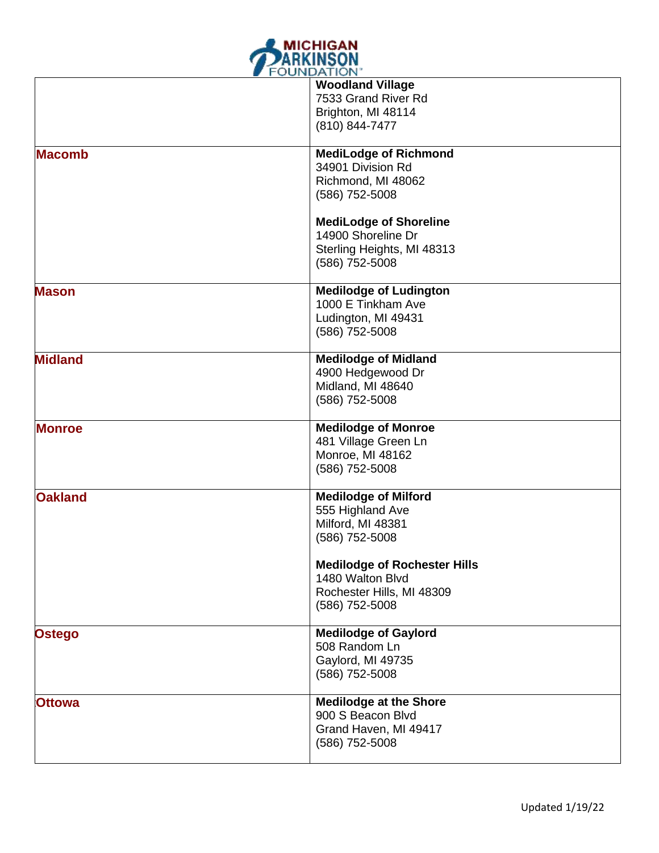

|                | <b>Woodland Village</b><br>7533 Grand River Rd<br>Brighton, MI 48114<br>(810) 844-7477                 |
|----------------|--------------------------------------------------------------------------------------------------------|
| <b>Macomb</b>  | <b>MediLodge of Richmond</b><br>34901 Division Rd<br>Richmond, MI 48062<br>(586) 752-5008              |
|                | <b>MediLodge of Shoreline</b><br>14900 Shoreline Dr<br>Sterling Heights, MI 48313<br>(586) 752-5008    |
| <b>Mason</b>   | <b>Medilodge of Ludington</b><br>1000 E Tinkham Ave<br>Ludington, MI 49431<br>(586) 752-5008           |
| <b>Midland</b> | <b>Medilodge of Midland</b><br>4900 Hedgewood Dr<br>Midland, MI 48640<br>(586) 752-5008                |
| <b>Monroe</b>  | <b>Medilodge of Monroe</b><br>481 Village Green Ln<br>Monroe, MI 48162<br>(586) 752-5008               |
| <b>Oakland</b> | <b>Medilodge of Milford</b><br>555 Highland Ave<br>Milford, MI 48381<br>(586) 752-5008                 |
|                | <b>Medilodge of Rochester Hills</b><br>1480 Walton Blvd<br>Rochester Hills, MI 48309<br>(586) 752-5008 |
| Ostego         | <b>Medilodge of Gaylord</b><br>508 Random Ln<br>Gaylord, MI 49735<br>(586) 752-5008                    |
| <b>Ottowa</b>  | <b>Medilodge at the Shore</b><br>900 S Beacon Blvd<br>Grand Haven, MI 49417<br>(586) 752-5008          |